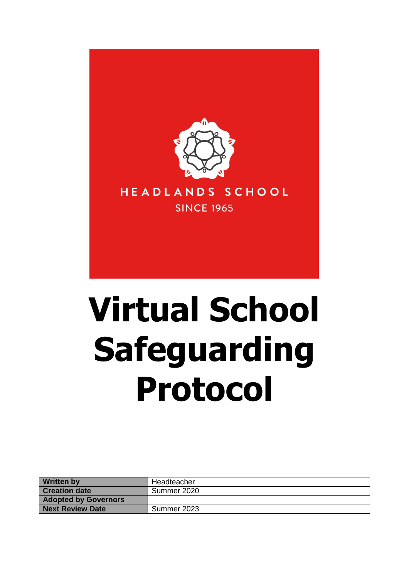

# **Virtual School Safeguarding Protocol**

| <b>Written by</b>           | Headteacher |
|-----------------------------|-------------|
| <b>Creation date</b>        | Summer 2020 |
| <b>Adopted by Governors</b> |             |
| <b>Next Review Date</b>     | Summer 2023 |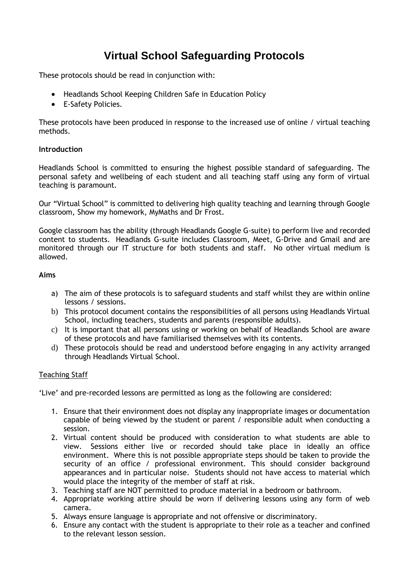## **Virtual School Safeguarding Protocols**

These protocols should be read in conjunction with:

- Headlands School Keeping Children Safe in Education Policy
- E-Safety Policies.

These protocols have been produced in response to the increased use of online / virtual teaching methods.

#### **Introduction**

Headlands School is committed to ensuring the highest possible standard of safeguarding. The personal safety and wellbeing of each student and all teaching staff using any form of virtual teaching is paramount.

Our "Virtual School" is committed to delivering high quality teaching and learning through Google classroom, Show my homework, MyMaths and Dr Frost.

Google classroom has the ability (through Headlands Google G-suite) to perform live and recorded content to students. Headlands G-suite includes Classroom, Meet, G-Drive and Gmail and are monitored through our IT structure for both students and staff. No other virtual medium is allowed.

#### **Aims**

- a) The aim of these protocols is to safeguard students and staff whilst they are within online lessons / sessions.
- b) This protocol document contains the responsibilities of all persons using Headlands Virtual School, including teachers, students and parents (responsible adults).
- c) It is important that all persons using or working on behalf of Headlands School are aware of these protocols and have familiarised themselves with its contents.
- d) These protocols should be read and understood before engaging in any activity arranged through Headlands Virtual School.

#### Teaching Staff

'Live' and pre-recorded lessons are permitted as long as the following are considered:

- 1. Ensure that their environment does not display any inappropriate images or documentation capable of being viewed by the student or parent / responsible adult when conducting a session.
- 2. Virtual content should be produced with consideration to what students are able to view. Sessions either live or recorded should take place in ideally an office environment. Where this is not possible appropriate steps should be taken to provide the security of an office / professional environment. This should consider background appearances and in particular noise. Students should not have access to material which would place the integrity of the member of staff at risk.
- 3. Teaching staff are NOT permitted to produce material in a bedroom or bathroom.
- 4. Appropriate working attire should be worn if delivering lessons using any form of web camera.
- 5. Always ensure language is appropriate and not offensive or discriminatory.
- 6. Ensure any contact with the student is appropriate to their role as a teacher and confined to the relevant lesson session.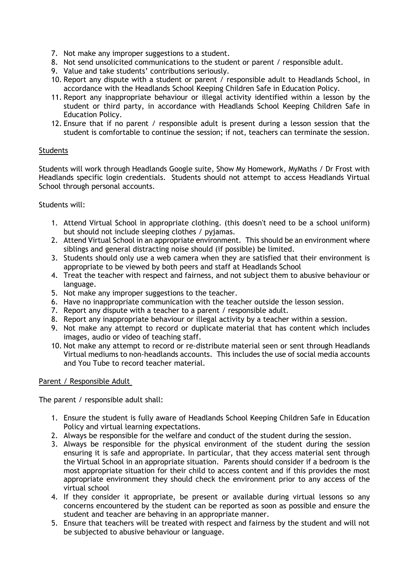- 7. Not make any improper suggestions to a student.
- 8. Not send unsolicited communications to the student or parent / responsible adult.
- 9. Value and take students' contributions seriously.
- 10. Report any dispute with a student or parent / responsible adult to Headlands School, in accordance with the Headlands School Keeping Children Safe in Education Policy.
- 11. Report any inappropriate behaviour or illegal activity identified within a lesson by the student or third party, in accordance with Headlands School Keeping Children Safe in Education Policy.
- 12. Ensure that if no parent / responsible adult is present during a lesson session that the student is comfortable to continue the session; if not, teachers can terminate the session.

### **Students**

Students will work through Headlands Google suite, Show My Homework, MyMaths / Dr Frost with Headlands specific login credentials. Students should not attempt to access Headlands Virtual School through personal accounts.

#### Students will:

- 1. Attend Virtual School in appropriate clothing. (this doesn't need to be a school uniform) but should not include sleeping clothes / pyjamas.
- 2. Attend Virtual School in an appropriate environment. This should be an environment where siblings and general distracting noise should (if possible) be limited.
- 3. Students should only use a web camera when they are satisfied that their environment is appropriate to be viewed by both peers and staff at Headlands School
- 4. Treat the teacher with respect and fairness, and not subject them to abusive behaviour or language.
- 5. Not make any improper suggestions to the teacher.
- 6. Have no inappropriate communication with the teacher outside the lesson session.
- 7. Report any dispute with a teacher to a parent / responsible adult.
- 8. Report any inappropriate behaviour or illegal activity by a teacher within a session.
- 9. Not make any attempt to record or duplicate material that has content which includes images, audio or video of teaching staff.
- 10. Not make any attempt to record or re-distribute material seen or sent through Headlands Virtual mediums to non-headlands accounts. This includes the use of social media accounts and You Tube to record teacher material.

#### Parent / Responsible Adult

The parent / responsible adult shall:

- 1. Ensure the student is fully aware of Headlands School Keeping Children Safe in Education Policy and virtual learning expectations.
- 2. Always be responsible for the welfare and conduct of the student during the session.
- 3. Always be responsible for the physical environment of the student during the session ensuring it is safe and appropriate. In particular, that they access material sent through the Virtual School in an appropriate situation. Parents should consider if a bedroom is the most appropriate situation for their child to access content and if this provides the most appropriate environment they should check the environment prior to any access of the virtual school
- 4. If they consider it appropriate, be present or available during virtual lessons so any concerns encountered by the student can be reported as soon as possible and ensure the student and teacher are behaving in an appropriate manner.
- 5. Ensure that teachers will be treated with respect and fairness by the student and will not be subjected to abusive behaviour or language.